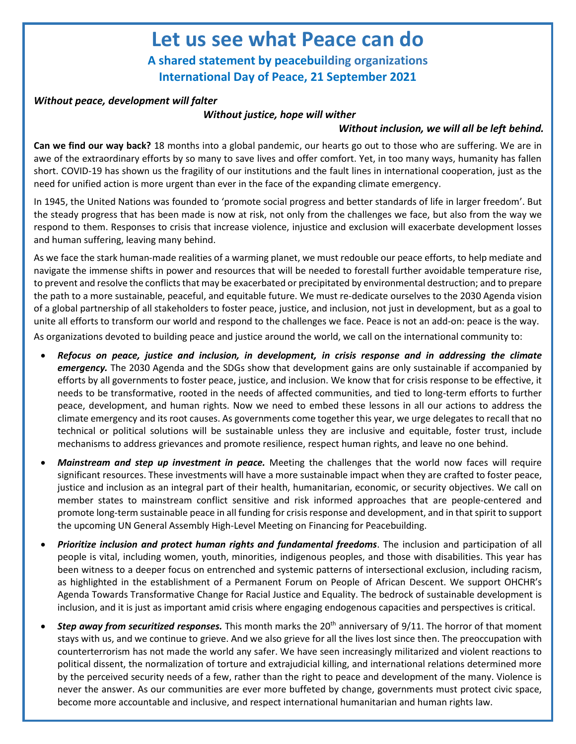## **Let us see what Peace can do**

**A shared statement by peacebuilding organizations International Day of Peace, 21 September 2021**

### *Without peace, development will falter*

#### *Without justice, hope will wither*

#### *Without inclusion, we will all be left behind.*

**Can we find our way back?** 18 months into a global pandemic, our hearts go out to those who are suffering. We are in awe of the extraordinary efforts by so many to save lives and offer comfort. Yet, in too many ways, humanity has fallen short. COVID-19 has shown us the fragility of our institutions and the fault lines in international cooperation, just as the need for unified action is more urgent than ever in the face of the expanding climate emergency.

In 1945, the United Nations was founded to 'promote social progress and better standards of life in larger freedom'. But the steady progress that has been made is now at risk, not only from the challenges we face, but also from the way we respond to them. Responses to crisis that increase violence, injustice and exclusion will exacerbate development losses and human suffering, leaving many behind.

As we face the stark human-made realities of a warming planet, we must redouble our peace efforts, to help mediate and navigate the immense shifts in power and resources that will be needed to forestall further avoidable temperature rise, to prevent and resolve the conflicts that may be exacerbated or precipitated by environmental destruction; and to prepare the path to a more sustainable, peaceful, and equitable future. We must re-dedicate ourselves to the 2030 Agenda vision of a global partnership of all stakeholders to foster peace, justice, and inclusion, not just in development, but as a goal to unite all efforts to transform our world and respond to the challenges we face. Peace is not an add-on: peace is the way. As organizations devoted to building peace and justice around the world, we call on the international community to:

- *Refocus on peace, justice and inclusion, in development, in crisis response and in addressing the climate emergency.* The 2030 Agenda and the SDGs show that development gains are only sustainable if accompanied by efforts by all governments to foster peace, justice, and inclusion. We know that for crisis response to be effective, it needs to be transformative, rooted in the needs of affected communities, and tied to long-term efforts to further peace, development, and human rights. Now we need to embed these lessons in all our actions to address the climate emergency and its root causes. As governments come together this year, we urge delegates to recall that no technical or political solutions will be sustainable unless they are inclusive and equitable, foster trust, include mechanisms to address grievances and promote resilience, respect human rights, and leave no one behind.
- *Mainstream and step up investment in peace.* Meeting the challenges that the world now faces will require significant resources. These investments will have a more sustainable impact when they are crafted to foster peace, justice and inclusion as an integral part of their health, humanitarian, economic, or security objectives. We call on member states to mainstream conflict sensitive and risk informed approaches that are people-centered and promote long-term sustainable peace in all funding for crisis response and development, and in that spirit to support the upcoming UN General Assembly High-Level Meeting on Financing for Peacebuilding.
- *Prioritize inclusion and protect human rights and fundamental freedoms*. The inclusion and participation of all people is vital, including women, youth, minorities, indigenous peoples, and those with disabilities. This year has been witness to a deeper focus on entrenched and systemic patterns of intersectional exclusion, including racism, as highlighted in the establishment of a Permanent Forum on People of African Descent. We support OHCHR's Agenda Towards Transformative Change for Racial Justice and Equality. The bedrock of sustainable development is inclusion, and it is just as important amid crisis where engaging endogenous capacities and perspectives is critical.
- **Step away from securitized responses.** This month marks the 20<sup>th</sup> anniversary of 9/11. The horror of that moment stays with us, and we continue to grieve. And we also grieve for all the lives lost since then. The preoccupation with counterterrorism has not made the world any safer. We have seen increasingly militarized and violent reactions to political dissent, the normalization of torture and extrajudicial killing, and international relations determined more by the perceived security needs of a few, rather than the right to peace and development of the many. Violence is never the answer. As our communities are ever more buffeted by change, governments must protect civic space, become more accountable and inclusive, and respect international humanitarian and human rights law.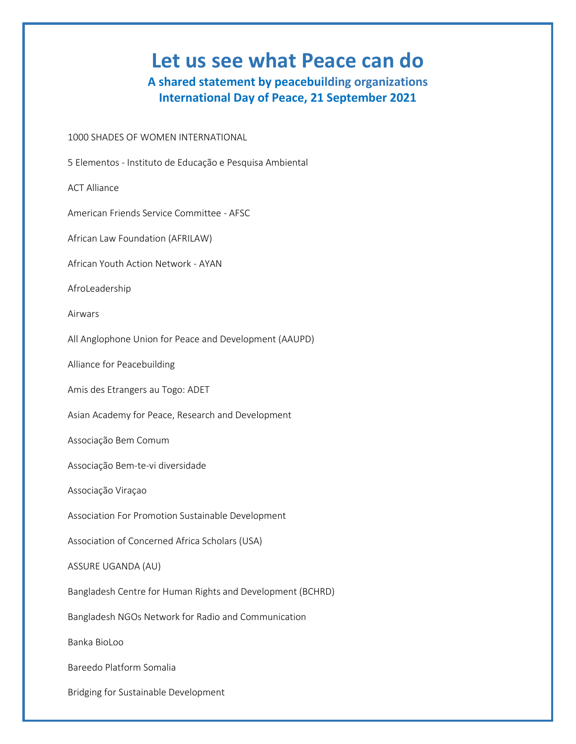# **Let us see what Peace can do**

**A shared statement by peacebuilding organizations International Day of Peace, 21 September 2021**

1000 SHADES OF WOMEN INTERNATIONAL

5 Elementos - Instituto de Educação e Pesquisa Ambiental

ACT Alliance

American Friends Service Committee - AFSC

African Law Foundation (AFRILAW)

African Youth Action Network - AYAN

AfroLeadership

Airwars

All Anglophone Union for Peace and Development (AAUPD)

Alliance for Peacebuilding

Amis des Etrangers au Togo: ADET

Asian Academy for Peace, Research and Development

Associação Bem Comum

Associação Bem-te-vi diversidade

Associação Viraçao

Association For Promotion Sustainable Development

Association of Concerned Africa Scholars (USA)

ASSURE UGANDA (AU)

Bangladesh Centre for Human Rights and Development (BCHRD)

Bangladesh NGOs Network for Radio and Communication

Banka BioLoo

Bareedo Platform Somalia

Bridging for Sustainable Development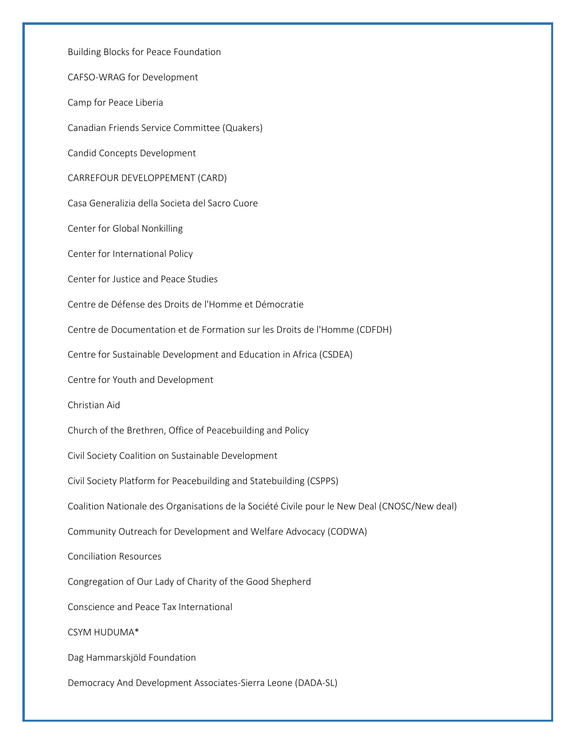Building Blocks for Peace Foundation CAFSO-WRAG for Development Camp for Peace Liberia Canadian Friends Service Committee (Quakers) Candid Concepts Development CARREFOUR DEVELOPPEMENT (CARD) Casa Generalizia della Societa del Sacro Cuore Center for Global Nonkilling Center for International Policy Center for Justice and Peace Studies Centre de Défense des Droits de l'Homme et Démocratie Centre de Documentation et de Formation sur les Droits de l'Homme (CDFDH) Centre for Sustainable Development and Education in Africa (CSDEA) Centre for Youth and Development Christian Aid Church of the Brethren, Office of Peacebuilding and Policy Civil Society Coalition on Sustainable Development Civil Society Platform for Peacebuilding and Statebuilding (CSPPS) Coalition Nationale des Organisations de la Société Civile pour le New Deal (CNOSC/New deal) Community Outreach for Development and Welfare Advocacy (CODWA) Conciliation Resources Congregation of Our Lady of Charity of the Good Shepherd Conscience and Peace Tax International CSYM HUDUMA\* Dag Hammarskjöld Foundation Democracy And Development Associates-Sierra Leone (DADA-SL)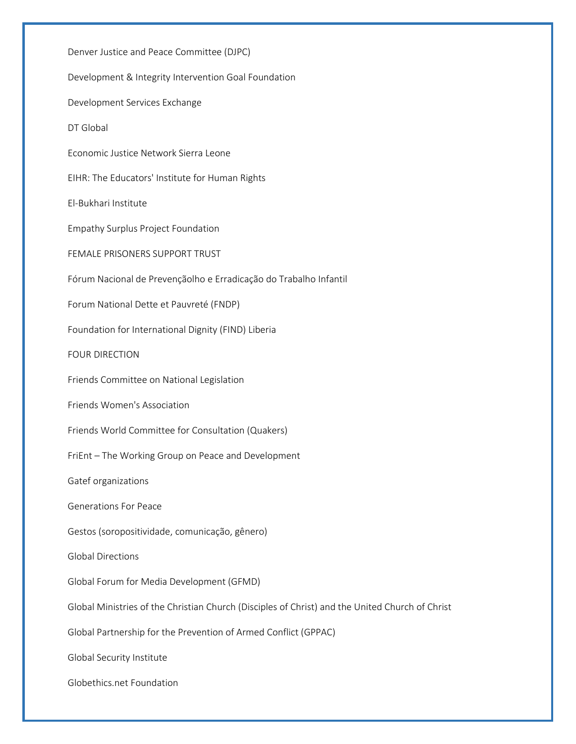Denver Justice and Peace Committee (DJPC) Development & Integrity Intervention Goal Foundation Development Services Exchange DT Global Economic Justice Network Sierra Leone EIHR: The Educators' Institute for Human Rights El-Bukhari Institute Empathy Surplus Project Foundation FEMALE PRISONERS SUPPORT TRUST Fórum Nacional de Prevençãolho e Erradicação do Trabalho Infantil Forum National Dette et Pauvreté (FNDP) Foundation for International Dignity (FIND) Liberia FOUR DIRECTION Friends Committee on National Legislation Friends Women's Association Friends World Committee for Consultation (Quakers) FriEnt – The Working Group on Peace and Development Gatef organizations Generations For Peace Gestos (soropositividade, comunicação, gênero) Global Directions Global Forum for Media Development (GFMD) Global Ministries of the Christian Church (Disciples of Christ) and the United Church of Christ Global Partnership for the Prevention of Armed Conflict (GPPAC) Global Security Institute Globethics.net Foundation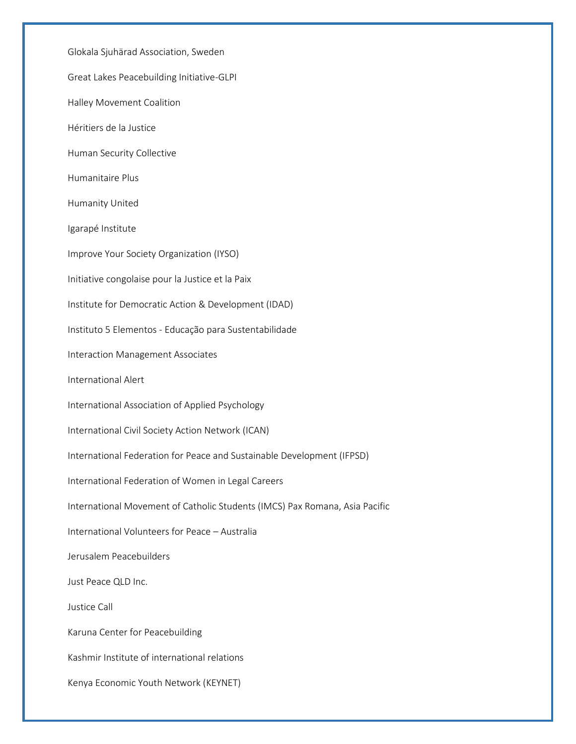Glokala Sjuhärad Association, Sweden Great Lakes Peacebuilding Initiative-GLPI Halley Movement Coalition Héritiers de la Justice Human Security Collective Humanitaire Plus Humanity United Igarapé Institute Improve Your Society Organization (IYSO) Initiative congolaise pour la Justice et la Paix Institute for Democratic Action & Development (IDAD) Instituto 5 Elementos - Educação para Sustentabilidade Interaction Management Associates International Alert International Association of Applied Psychology International Civil Society Action Network (ICAN) International Federation for Peace and Sustainable Development (IFPSD) International Federation of Women in Legal Careers International Movement of Catholic Students (IMCS) Pax Romana, Asia Pacific International Volunteers for Peace – Australia Jerusalem Peacebuilders Just Peace QLD Inc. Justice Call Karuna Center for Peacebuilding Kashmir Institute of international relations Kenya Economic Youth Network (KEYNET)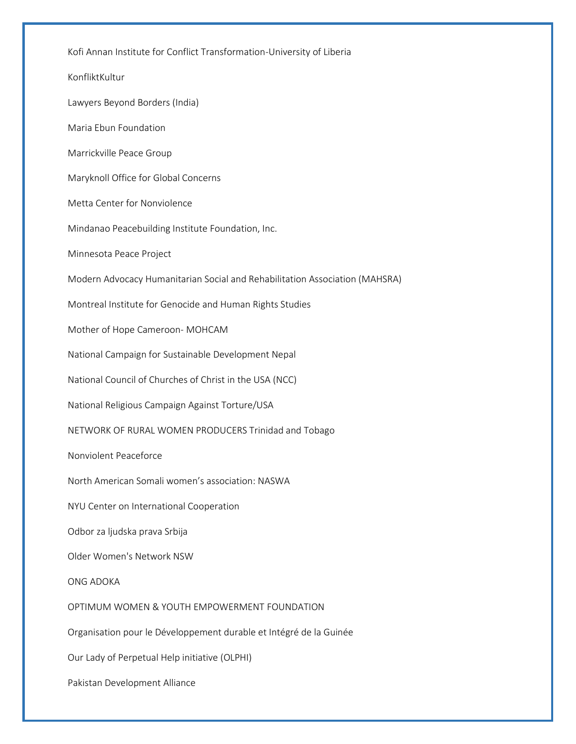Kofi Annan Institute for Conflict Transformation-University of Liberia KonfliktKultur Lawyers Beyond Borders (India) Maria Ebun Foundation Marrickville Peace Group Maryknoll Office for Global Concerns Metta Center for Nonviolence Mindanao Peacebuilding Institute Foundation, Inc. Minnesota Peace Project Modern Advocacy Humanitarian Social and Rehabilitation Association (MAHSRA) Montreal Institute for Genocide and Human Rights Studies Mother of Hope Cameroon- MOHCAM National Campaign for Sustainable Development Nepal National Council of Churches of Christ in the USA (NCC) National Religious Campaign Against Torture/USA NETWORK OF RURAL WOMEN PRODUCERS Trinidad and Tobago Nonviolent Peaceforce North American Somali women's association: NASWA NYU Center on International Cooperation Odbor za ljudska prava Srbija Older Women's Network NSW ONG ADOKA OPTIMUM WOMEN & YOUTH EMPOWERMENT FOUNDATION Organisation pour le Développement durable et Intégré de la Guinée Our Lady of Perpetual Help initiative (OLPHI) Pakistan Development Alliance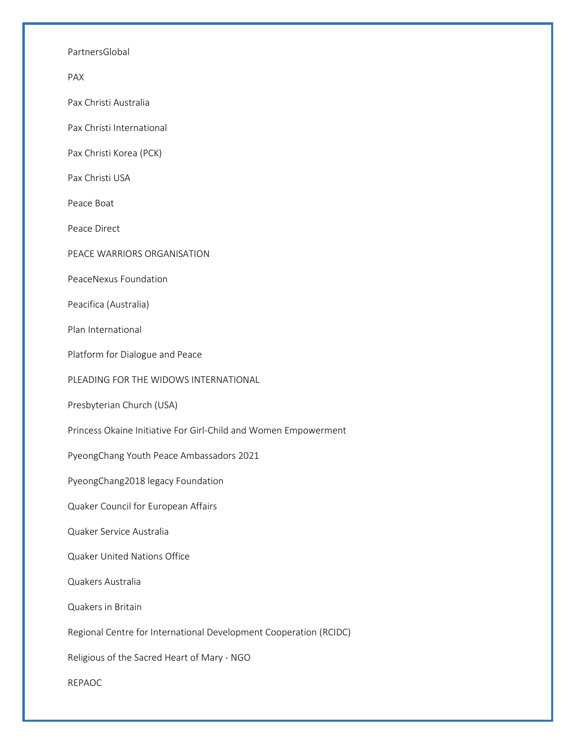PartnersGlobal

PAX

Pax Christi Australia

Pax Christi International

Pax Christi Korea (PCK)

Pax Christi USA

Peace Boat

Peace Direct

PEACE WARRIORS ORGANISATION

PeaceNexus Foundation

Peacifica (Australia)

Plan International

Platform for Dialogue and Peace

PLEADING FOR THE WIDOWS INTERNATIONAL

Presbyterian Church (USA)

Princess Okaine Initiative For Girl-Child and Women Empowerment

PyeongChang Youth Peace Ambassadors 2021

PyeongChang2018 legacy Foundation

Quaker Council for European Affairs

Quaker Service Australia

Quaker United Nations Office

Quakers Australia

Quakers in Britain

Regional Centre for International Development Cooperation (RCIDC)

Religious of the Sacred Heart of Mary - NGO

REPAOC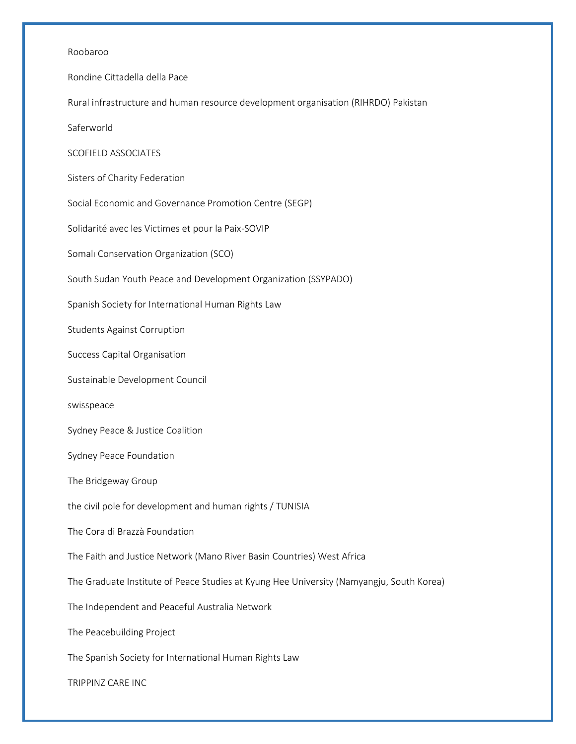#### Roobaroo

Rondine Cittadella della Pace

Rural infrastructure and human resource development organisation (RIHRDO) Pakistan

Saferworld

SCOFIELD ASSOCIATES

Sisters of Charity Federation

Social Economic and Governance Promotion Centre (SEGP)

Solidarité avec les Victimes et pour la Paix-SOVIP

Somalı Conservation Organization (SCO)

South Sudan Youth Peace and Development Organization (SSYPADO)

Spanish Society for International Human Rights Law

Students Against Corruption

Success Capital Organisation

Sustainable Development Council

swisspeace

Sydney Peace & Justice Coalition

Sydney Peace Foundation

The Bridgeway Group

the civil pole for development and human rights / TUNISIA

The Cora di Brazzà Foundation

The Faith and Justice Network (Mano River Basin Countries) West Africa

The Graduate Institute of Peace Studies at Kyung Hee University (Namyangju, South Korea)

The Independent and Peaceful Australia Network

The Peacebuilding Project

The Spanish Society for International Human Rights Law

TRIPPINZ CARE INC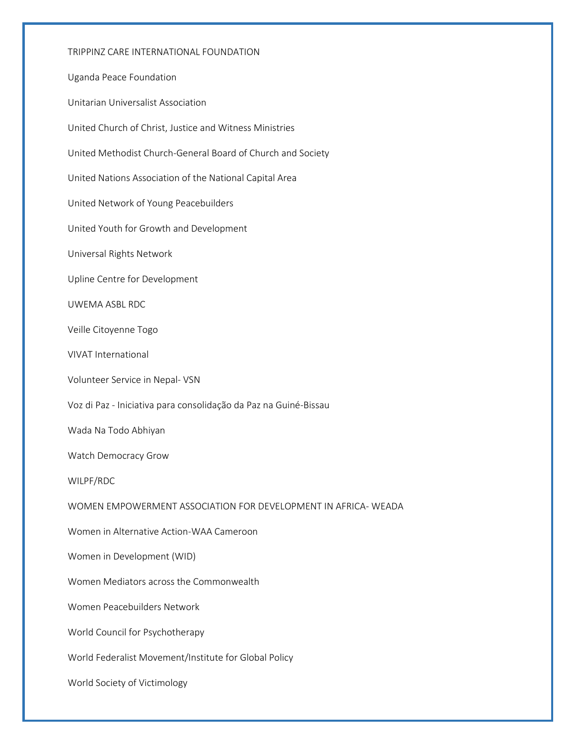TRIPPINZ CARE INTERNATIONAL FOUNDATION Uganda Peace Foundation Unitarian Universalist Association United Church of Christ, Justice and Witness Ministries United Methodist Church-General Board of Church and Society United Nations Association of the National Capital Area United Network of Young Peacebuilders United Youth for Growth and Development Universal Rights Network Upline Centre for Development UWEMA ASBL RDC Veille Citoyenne Togo VIVAT International Volunteer Service in Nepal- VSN Voz di Paz - Iniciativa para consolidação da Paz na Guiné-Bissau Wada Na Todo Abhiyan Watch Democracy Grow WILPF/RDC WOMEN EMPOWERMENT ASSOCIATION FOR DEVELOPMENT IN AFRICA- WEADA Women in Alternative Action-WAA Cameroon Women in Development (WID) Women Mediators across the Commonwealth Women Peacebuilders Network World Council for Psychotherapy World Federalist Movement/Institute for Global Policy World Society of Victimology